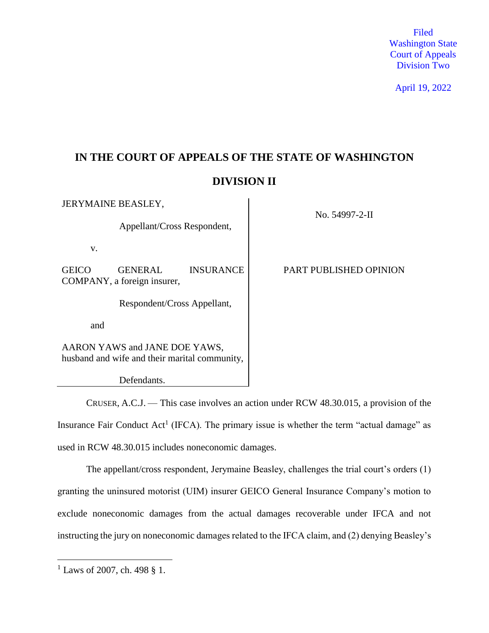Filed Washington State Court of Appeals Division Two

April 19, 2022

# **IN THE COURT OF APPEALS OF THE STATE OF WASHINGTON DIVISION II**

| <b>JERYMAINE BEASLEY,</b>                                                      |                                        |                  | No. 54997-2-II         |
|--------------------------------------------------------------------------------|----------------------------------------|------------------|------------------------|
| Appellant/Cross Respondent,                                                    |                                        |                  |                        |
| V.                                                                             |                                        |                  |                        |
| <b>GEICO</b>                                                                   | GENERAL<br>COMPANY, a foreign insurer, | <b>INSURANCE</b> | PART PUBLISHED OPINION |
| Respondent/Cross Appellant,                                                    |                                        |                  |                        |
| and                                                                            |                                        |                  |                        |
| AARON YAWS and JANE DOE YAWS,<br>husband and wife and their marital community, |                                        |                  |                        |
| Defendants.                                                                    |                                        |                  |                        |

CRUSER, A.C.J. — This case involves an action under RCW 48.30.015, a provision of the Insurance Fair Conduct Act<sup>1</sup> (IFCA). The primary issue is whether the term "actual damage" as used in RCW 48.30.015 includes noneconomic damages.

The appellant/cross respondent, Jerymaine Beasley, challenges the trial court's orders (1) granting the uninsured motorist (UIM) insurer GEICO General Insurance Company's motion to exclude noneconomic damages from the actual damages recoverable under IFCA and not instructing the jury on noneconomic damages related to the IFCA claim, and (2) denying Beasley's

 $1$  Laws of 2007, ch. 498 § 1.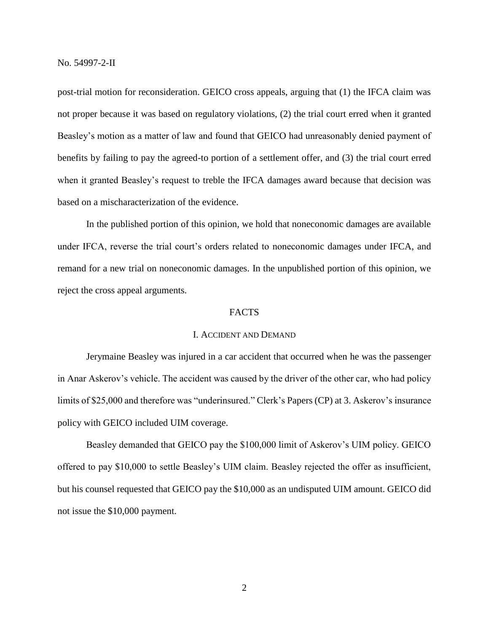post-trial motion for reconsideration. GEICO cross appeals, arguing that (1) the IFCA claim was not proper because it was based on regulatory violations, (2) the trial court erred when it granted Beasley's motion as a matter of law and found that GEICO had unreasonably denied payment of benefits by failing to pay the agreed-to portion of a settlement offer, and (3) the trial court erred when it granted Beasley's request to treble the IFCA damages award because that decision was based on a mischaracterization of the evidence.

In the published portion of this opinion, we hold that noneconomic damages are available under IFCA, reverse the trial court's orders related to noneconomic damages under IFCA, and remand for a new trial on noneconomic damages. In the unpublished portion of this opinion, we reject the cross appeal arguments.

## FACTS

## I. ACCIDENT AND DEMAND

Jerymaine Beasley was injured in a car accident that occurred when he was the passenger in Anar Askerov's vehicle. The accident was caused by the driver of the other car, who had policy limits of \$25,000 and therefore was "underinsured." Clerk's Papers (CP) at 3. Askerov's insurance policy with GEICO included UIM coverage.

Beasley demanded that GEICO pay the \$100,000 limit of Askerov's UIM policy. GEICO offered to pay \$10,000 to settle Beasley's UIM claim. Beasley rejected the offer as insufficient, but his counsel requested that GEICO pay the \$10,000 as an undisputed UIM amount. GEICO did not issue the \$10,000 payment.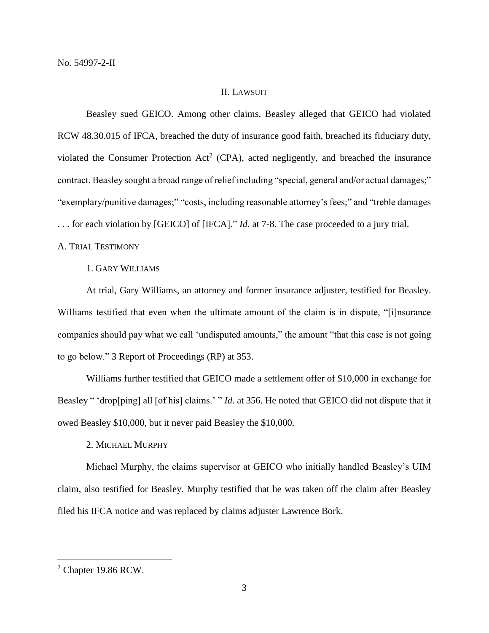### II. LAWSUIT

Beasley sued GEICO. Among other claims, Beasley alleged that GEICO had violated RCW 48.30.015 of IFCA, breached the duty of insurance good faith, breached its fiduciary duty, violated the Consumer Protection Act<sup>2</sup> (CPA), acted negligently, and breached the insurance contract. Beasley sought a broad range of relief including "special, general and/or actual damages;" "exemplary/punitive damages;" "costs, including reasonable attorney's fees;" and "treble damages . . . for each violation by [GEICO] of [IFCA]." *Id.* at 7-8. The case proceeded to a jury trial.

# A. TRIAL TESTIMONY

1. GARY WILLIAMS

At trial, Gary Williams, an attorney and former insurance adjuster, testified for Beasley. Williams testified that even when the ultimate amount of the claim is in dispute, "[i]nsurance companies should pay what we call 'undisputed amounts," the amount "that this case is not going to go below." 3 Report of Proceedings (RP) at 353.

Williams further testified that GEICO made a settlement offer of \$10,000 in exchange for Beasley " 'drop[ping] all [of his] claims.' " *Id.* at 356. He noted that GEICO did not dispute that it owed Beasley \$10,000, but it never paid Beasley the \$10,000.

2. MICHAEL MURPHY

Michael Murphy, the claims supervisor at GEICO who initially handled Beasley's UIM claim, also testified for Beasley. Murphy testified that he was taken off the claim after Beasley filed his IFCA notice and was replaced by claims adjuster Lawrence Bork.

<sup>2</sup> Chapter 19.86 RCW.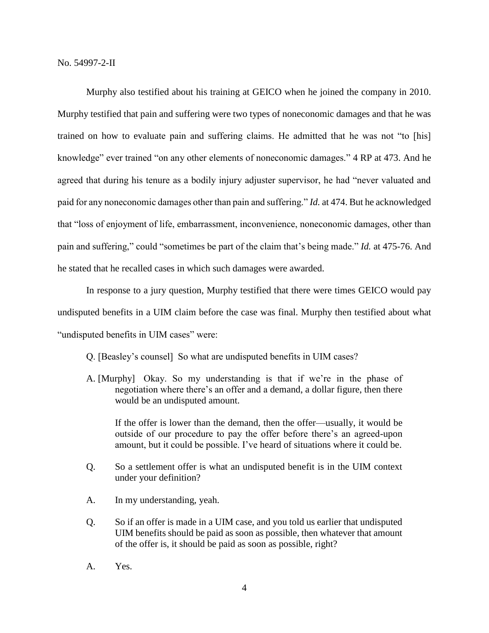Murphy also testified about his training at GEICO when he joined the company in 2010. Murphy testified that pain and suffering were two types of noneconomic damages and that he was trained on how to evaluate pain and suffering claims. He admitted that he was not "to [his] knowledge" ever trained "on any other elements of noneconomic damages." 4 RP at 473. And he agreed that during his tenure as a bodily injury adjuster supervisor, he had "never valuated and paid for any noneconomic damages other than pain and suffering." *Id.* at 474. But he acknowledged that "loss of enjoyment of life, embarrassment, inconvenience, noneconomic damages, other than pain and suffering," could "sometimes be part of the claim that's being made." *Id.* at 475-76. And he stated that he recalled cases in which such damages were awarded.

In response to a jury question, Murphy testified that there were times GEICO would pay undisputed benefits in a UIM claim before the case was final. Murphy then testified about what "undisputed benefits in UIM cases" were:

Q. [Beasley's counsel] So what are undisputed benefits in UIM cases?

A. [Murphy] Okay. So my understanding is that if we're in the phase of negotiation where there's an offer and a demand, a dollar figure, then there would be an undisputed amount.

If the offer is lower than the demand, then the offer—usually, it would be outside of our procedure to pay the offer before there's an agreed-upon amount, but it could be possible. I've heard of situations where it could be.

- Q. So a settlement offer is what an undisputed benefit is in the UIM context under your definition?
- A. In my understanding, yeah.
- Q. So if an offer is made in a UIM case, and you told us earlier that undisputed UIM benefits should be paid as soon as possible, then whatever that amount of the offer is, it should be paid as soon as possible, right?
- A. Yes.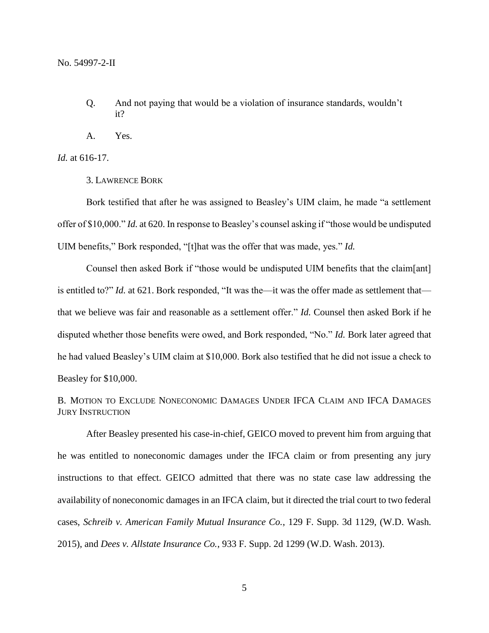- Q. And not paying that would be a violation of insurance standards, wouldn't it?
- A. Yes.

*Id.* at 616-17.

3. LAWRENCE BORK

Bork testified that after he was assigned to Beasley's UIM claim, he made "a settlement offer of \$10,000." *Id.* at 620. In response to Beasley's counsel asking if "those would be undisputed UIM benefits," Bork responded, "[t]hat was the offer that was made, yes." *Id.*

Counsel then asked Bork if "those would be undisputed UIM benefits that the claim[ant] is entitled to?" *Id.* at 621. Bork responded, "It was the—it was the offer made as settlement that that we believe was fair and reasonable as a settlement offer." *Id.* Counsel then asked Bork if he disputed whether those benefits were owed, and Bork responded, "No." *Id.* Bork later agreed that he had valued Beasley's UIM claim at \$10,000. Bork also testified that he did not issue a check to Beasley for \$10,000.

B. MOTION TO EXCLUDE NONECONOMIC DAMAGES UNDER IFCA CLAIM AND IFCA DAMAGES JURY INSTRUCTION

After Beasley presented his case-in-chief, GEICO moved to prevent him from arguing that he was entitled to noneconomic damages under the IFCA claim or from presenting any jury instructions to that effect. GEICO admitted that there was no state case law addressing the availability of noneconomic damages in an IFCA claim, but it directed the trial court to two federal cases, *Schreib v. American Family Mutual Insurance Co.*, 129 F. Supp. 3d 1129, (W.D. Wash. 2015), and *Dees v. Allstate Insurance Co.*, 933 F. Supp. 2d 1299 (W.D. Wash. 2013).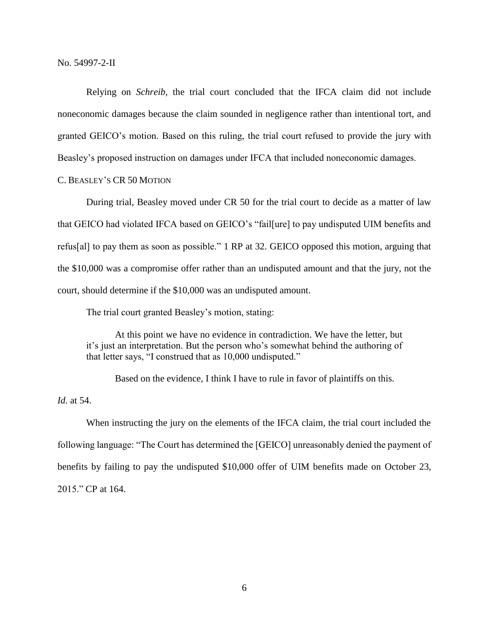Relying on *Schreib*, the trial court concluded that the IFCA claim did not include noneconomic damages because the claim sounded in negligence rather than intentional tort, and granted GEICO's motion. Based on this ruling, the trial court refused to provide the jury with Beasley's proposed instruction on damages under IFCA that included noneconomic damages.

C. BEASLEY'S CR 50 MOTION

During trial, Beasley moved under CR 50 for the trial court to decide as a matter of law that GEICO had violated IFCA based on GEICO's "fail[ure] to pay undisputed UIM benefits and refus[al] to pay them as soon as possible." 1 RP at 32. GEICO opposed this motion, arguing that the \$10,000 was a compromise offer rather than an undisputed amount and that the jury, not the court, should determine if the \$10,000 was an undisputed amount.

The trial court granted Beasley's motion, stating:

At this point we have no evidence in contradiction. We have the letter, but it's just an interpretation. But the person who's somewhat behind the authoring of that letter says, "I construed that as 10,000 undisputed."

Based on the evidence, I think I have to rule in favor of plaintiffs on this.

*Id.* at 54.

When instructing the jury on the elements of the IFCA claim, the trial court included the following language: "The Court has determined the [GEICO] unreasonably denied the payment of benefits by failing to pay the undisputed \$10,000 offer of UIM benefits made on October 23, 2015." CP at 164.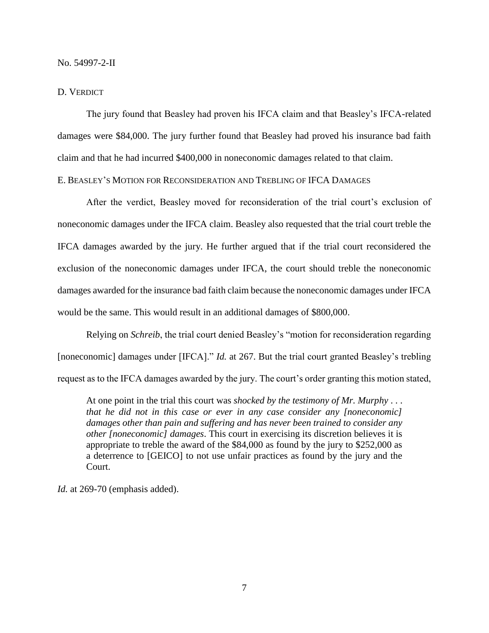## D. VERDICT

The jury found that Beasley had proven his IFCA claim and that Beasley's IFCA-related damages were \$84,000. The jury further found that Beasley had proved his insurance bad faith claim and that he had incurred \$400,000 in noneconomic damages related to that claim.

# E. BEASLEY'S MOTION FOR RECONSIDERATION AND TREBLING OF IFCA DAMAGES

After the verdict, Beasley moved for reconsideration of the trial court's exclusion of noneconomic damages under the IFCA claim. Beasley also requested that the trial court treble the IFCA damages awarded by the jury. He further argued that if the trial court reconsidered the exclusion of the noneconomic damages under IFCA, the court should treble the noneconomic damages awarded for the insurance bad faith claim because the noneconomic damages under IFCA would be the same. This would result in an additional damages of \$800,000.

Relying on *Schreib*, the trial court denied Beasley's "motion for reconsideration regarding [noneconomic] damages under [IFCA]." *Id.* at 267. But the trial court granted Beasley's trebling request as to the IFCA damages awarded by the jury. The court's order granting this motion stated,

At one point in the trial this court was *shocked by the testimony of Mr. Murphy* . . . *that he did not in this case or ever in any case consider any [noneconomic] damages other than pain and suffering and has never been trained to consider any other [noneconomic] damages*. This court in exercising its discretion believes it is appropriate to treble the award of the \$84,000 as found by the jury to \$252,000 as a deterrence to [GEICO] to not use unfair practices as found by the jury and the Court.

*Id.* at 269-70 (emphasis added).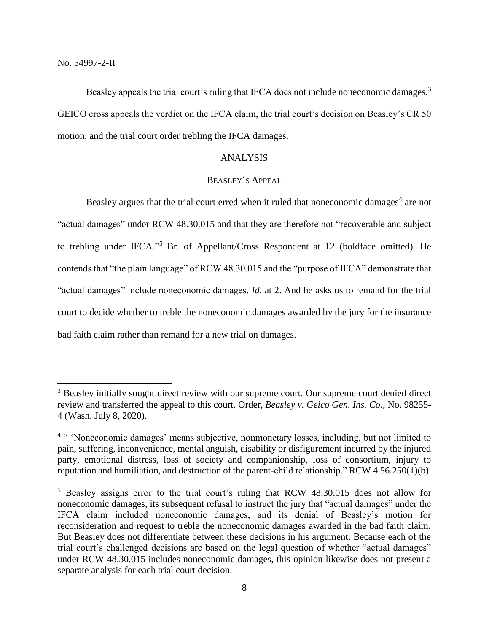$\overline{a}$ 

Beasley appeals the trial court's ruling that IFCA does not include noneconomic damages.<sup>3</sup> GEICO cross appeals the verdict on the IFCA claim, the trial court's decision on Beasley's CR 50 motion, and the trial court order trebling the IFCA damages.

# ANALYSIS

# BEASLEY'S APPEAL

Beasley argues that the trial court erred when it ruled that noneconomic damages<sup>4</sup> are not "actual damages" under RCW 48.30.015 and that they are therefore not "recoverable and subject to trebling under IFCA."<sup>5</sup> Br. of Appellant/Cross Respondent at 12 (boldface omitted). He contends that "the plain language" of RCW 48.30.015 and the "purpose of IFCA" demonstrate that "actual damages" include noneconomic damages. *Id.* at 2. And he asks us to remand for the trial court to decide whether to treble the noneconomic damages awarded by the jury for the insurance bad faith claim rather than remand for a new trial on damages.

<sup>&</sup>lt;sup>3</sup> Beasley initially sought direct review with our supreme court. Our supreme court denied direct review and transferred the appeal to this court. Order, *Beasley v. Geico Gen. Ins. Co.*, No. 98255- 4 (Wash. July 8, 2020).

<sup>&</sup>lt;sup>4 "</sup> 'Noneconomic damages' means subjective, nonmonetary losses, including, but not limited to pain, suffering, inconvenience, mental anguish, disability or disfigurement incurred by the injured party, emotional distress, loss of society and companionship, loss of consortium, injury to reputation and humiliation, and destruction of the parent-child relationship." RCW 4.56.250(1)(b).

<sup>5</sup> Beasley assigns error to the trial court's ruling that RCW 48.30.015 does not allow for noneconomic damages, its subsequent refusal to instruct the jury that "actual damages" under the IFCA claim included noneconomic damages, and its denial of Beasley's motion for reconsideration and request to treble the noneconomic damages awarded in the bad faith claim. But Beasley does not differentiate between these decisions in his argument. Because each of the trial court's challenged decisions are based on the legal question of whether "actual damages" under RCW 48.30.015 includes noneconomic damages, this opinion likewise does not present a separate analysis for each trial court decision.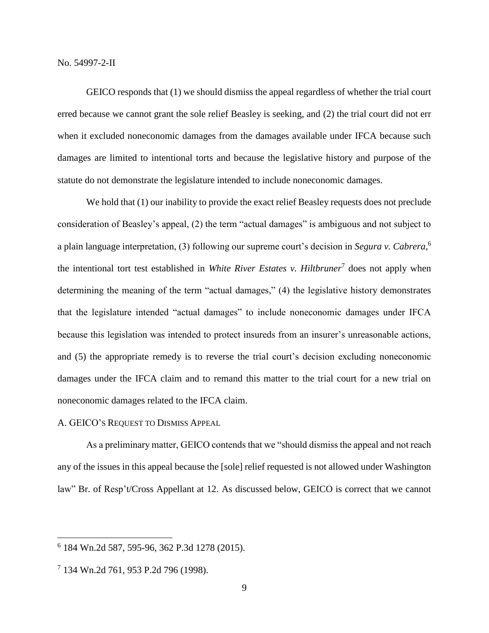GEICO responds that (1) we should dismiss the appeal regardless of whether the trial court erred because we cannot grant the sole relief Beasley is seeking, and (2) the trial court did not err when it excluded noneconomic damages from the damages available under IFCA because such damages are limited to intentional torts and because the legislative history and purpose of the statute do not demonstrate the legislature intended to include noneconomic damages.

We hold that (1) our inability to provide the exact relief Beasley requests does not preclude consideration of Beasley's appeal, (2) the term "actual damages" is ambiguous and not subject to a plain language interpretation, (3) following our supreme court's decision in *Segura v. Cabrera*, 6 the intentional tort test established in *White River Estates v. Hiltbruner*<sup>7</sup> does not apply when determining the meaning of the term "actual damages," (4) the legislative history demonstrates that the legislature intended "actual damages" to include noneconomic damages under IFCA because this legislation was intended to protect insureds from an insurer's unreasonable actions, and (5) the appropriate remedy is to reverse the trial court's decision excluding noneconomic damages under the IFCA claim and to remand this matter to the trial court for a new trial on noneconomic damages related to the IFCA claim.

## A. GEICO'S REQUEST TO DISMISS APPEAL

As a preliminary matter, GEICO contends that we "should dismiss the appeal and not reach any of the issues in this appeal because the [sole] relief requested is not allowed under Washington law" Br. of Resp't/Cross Appellant at 12. As discussed below, GEICO is correct that we cannot

<sup>6</sup> 184 Wn.2d 587, 595-96, 362 P.3d 1278 (2015).

<sup>7</sup> 134 Wn.2d 761, 953 P.2d 796 (1998).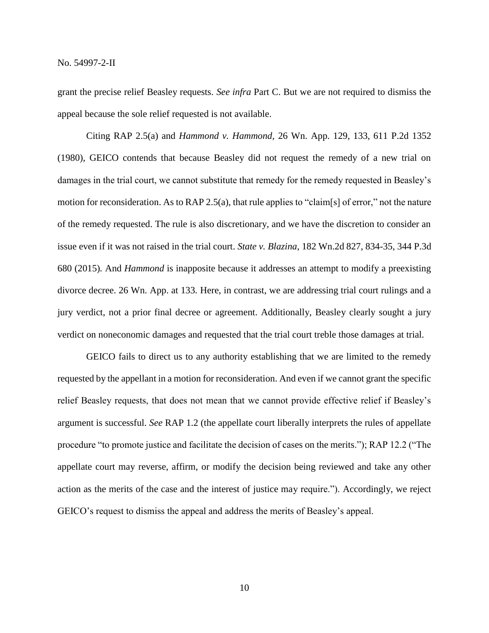grant the precise relief Beasley requests. *See infra* Part C. But we are not required to dismiss the appeal because the sole relief requested is not available.

Citing RAP 2.5(a) and *Hammond v. Hammond*, 26 Wn. App. 129, 133, 611 P.2d 1352 (1980), GEICO contends that because Beasley did not request the remedy of a new trial on damages in the trial court, we cannot substitute that remedy for the remedy requested in Beasley's motion for reconsideration. As to RAP 2.5(a), that rule applies to "claim[s] of error," not the nature of the remedy requested. The rule is also discretionary, and we have the discretion to consider an issue even if it was not raised in the trial court. *State v. Blazina*, 182 Wn.2d 827, 834-35, 344 P.3d 680 (2015)*.* And *Hammond* is inapposite because it addresses an attempt to modify a preexisting divorce decree. 26 Wn. App. at 133*.* Here, in contrast, we are addressing trial court rulings and a jury verdict, not a prior final decree or agreement. Additionally, Beasley clearly sought a jury verdict on noneconomic damages and requested that the trial court treble those damages at trial.

GEICO fails to direct us to any authority establishing that we are limited to the remedy requested by the appellant in a motion for reconsideration. And even if we cannot grant the specific relief Beasley requests, that does not mean that we cannot provide effective relief if Beasley's argument is successful. *See* RAP 1.2 (the appellate court liberally interprets the rules of appellate procedure "to promote justice and facilitate the decision of cases on the merits."); RAP 12.2 ("The appellate court may reverse, affirm, or modify the decision being reviewed and take any other action as the merits of the case and the interest of justice may require."). Accordingly, we reject GEICO's request to dismiss the appeal and address the merits of Beasley's appeal.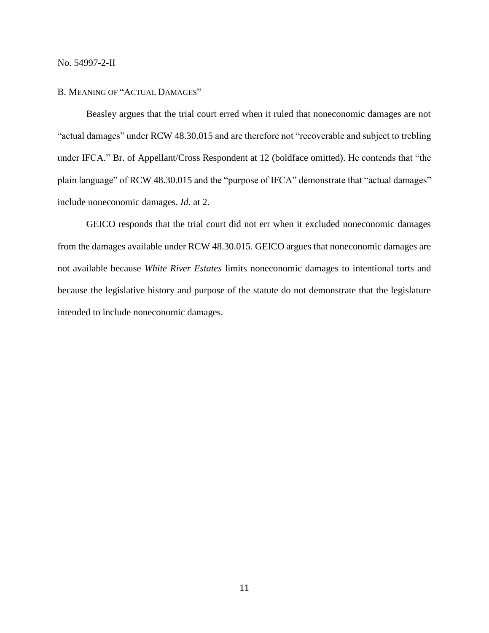#### B. MEANING OF "ACTUAL DAMAGES"

Beasley argues that the trial court erred when it ruled that noneconomic damages are not "actual damages" under RCW 48.30.015 and are therefore not "recoverable and subject to trebling under IFCA." Br. of Appellant/Cross Respondent at 12 (boldface omitted). He contends that "the plain language" of RCW 48.30.015 and the "purpose of IFCA" demonstrate that "actual damages" include noneconomic damages. *Id.* at 2.

GEICO responds that the trial court did not err when it excluded noneconomic damages from the damages available under RCW 48.30.015. GEICO argues that noneconomic damages are not available because *White River Estates* limits noneconomic damages to intentional torts and because the legislative history and purpose of the statute do not demonstrate that the legislature intended to include noneconomic damages.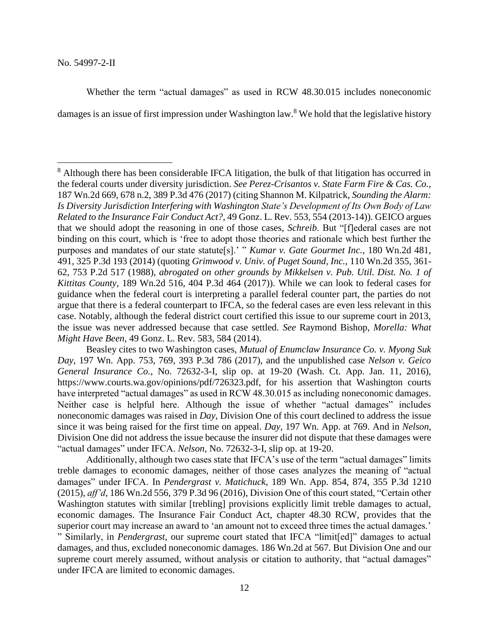$\overline{a}$ 

Whether the term "actual damages" as used in RCW 48.30.015 includes noneconomic

damages is an issue of first impression under Washington law.<sup>8</sup> We hold that the legislative history

Additionally, although two cases state that IFCA's use of the term "actual damages" limits treble damages to economic damages, neither of those cases analyzes the meaning of "actual damages" under IFCA. In *Pendergrast v. Matichuck*, 189 Wn. App. 854, 874, 355 P.3d 1210 (2015), *aff'd*, 186 Wn.2d 556, 379 P.3d 96 (2016), Division One of this court stated, "Certain other Washington statutes with similar [trebling] provisions explicitly limit treble damages to actual, economic damages. The Insurance Fair Conduct Act, chapter 48.30 RCW, provides that the superior court may increase an award to 'an amount not to exceed three times the actual damages.' " Similarly, in *Pendergrast*, our supreme court stated that IFCA "limit[ed]" damages to actual damages, and thus, excluded noneconomic damages. 186 Wn.2d at 567. But Division One and our supreme court merely assumed, without analysis or citation to authority, that "actual damages" under IFCA are limited to economic damages.

<sup>&</sup>lt;sup>8</sup> Although there has been considerable IFCA litigation, the bulk of that litigation has occurred in the federal courts under diversity jurisdiction. *See Perez-Crisantos v. State Farm Fire & Cas. Co.*, 187 Wn.2d 669, 678 n.2, 389 P.3d 476 (2017) (citing Shannon M. Kilpatrick, *Sounding the Alarm: Is Diversity Jurisdiction Interfering with Washington State's Development of Its Own Body of Law Related to the Insurance Fair Conduct Act?*, 49 Gonz. L. Rev. 553, 554 (2013-14)). GEICO argues that we should adopt the reasoning in one of those cases, *Schreib*. But "[f]ederal cases are not binding on this court, which is 'free to adopt those theories and rationale which best further the purposes and mandates of our state statute[s].' " *Kumar v. Gate Gourmet Inc.*, 180 Wn.2d 481, 491, 325 P.3d 193 (2014) (quoting *Grimwood v. Univ. of Puget Sound, Inc.*, 110 Wn.2d 355, 361- 62, 753 P.2d 517 (1988), *abrogated on other grounds by Mikkelsen v. Pub. Util. Dist. No. 1 of Kittitas County*, 189 Wn.2d 516, 404 P.3d 464 (2017)). While we can look to federal cases for guidance when the federal court is interpreting a parallel federal counter part, the parties do not argue that there is a federal counterpart to IFCA, so the federal cases are even less relevant in this case. Notably, although the federal district court certified this issue to our supreme court in 2013, the issue was never addressed because that case settled. *See* Raymond Bishop, *Morella: What Might Have Been*, 49 Gonz. L. Rev. 583, 584 (2014).

Beasley cites to two Washington cases, *Mutual of Enumclaw Insurance Co. v. Myong Suk Day*, 197 Wn. App. 753, 769, 393 P.3d 786 (2017), and the unpublished case *Nelson v. Geico General Insurance Co.*, No. 72632-3-I, slip op. at 19-20 (Wash. Ct. App. Jan. 11, 2016), https://www.courts.wa.gov/opinions/pdf/726323.pdf, for his assertion that Washington courts have interpreted "actual damages" as used in RCW 48.30.015 as including noneconomic damages. Neither case is helpful here. Although the issue of whether "actual damages" includes noneconomic damages was raised in *Day*, Division One of this court declined to address the issue since it was being raised for the first time on appeal. *Day*, 197 Wn. App. at 769. And in *Nelson*, Division One did not address the issue because the insurer did not dispute that these damages were "actual damages" under IFCA. *Nelson*, No. 72632-3-I, slip op. at 19-20.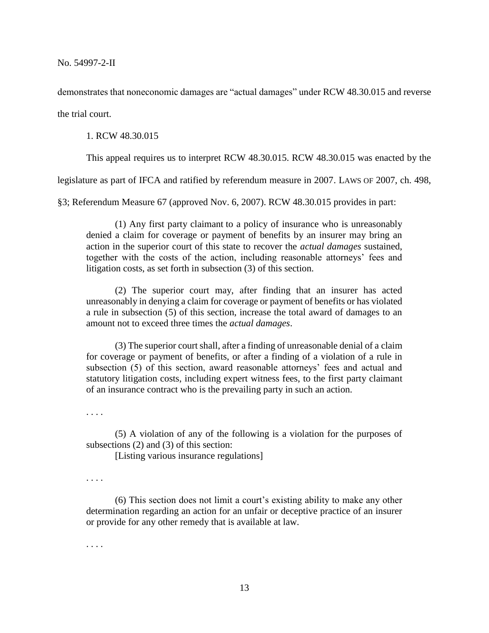demonstrates that noneconomic damages are "actual damages" under RCW 48.30.015 and reverse

the trial court.

1. RCW 48.30.015

This appeal requires us to interpret RCW 48.30.015. RCW 48.30.015 was enacted by the

legislature as part of IFCA and ratified by referendum measure in 2007. LAWS OF 2007, ch. 498,

§3; Referendum Measure 67 (approved Nov. 6, 2007). RCW 48.30.015 provides in part:

(1) Any first party claimant to a policy of insurance who is unreasonably denied a claim for coverage or payment of benefits by an insurer may bring an action in the superior court of this state to recover the *actual damages* sustained, together with the costs of the action, including reasonable attorneys' fees and litigation costs, as set forth in subsection (3) of this section.

(2) The superior court may, after finding that an insurer has acted unreasonably in denying a claim for coverage or payment of benefits or has violated a rule in subsection (5) of this section, increase the total award of damages to an amount not to exceed three times the *actual damages*.

(3) The superior court shall, after a finding of unreasonable denial of a claim for coverage or payment of benefits, or after a finding of a violation of a rule in subsection (5) of this section, award reasonable attorneys' fees and actual and statutory litigation costs, including expert witness fees, to the first party claimant of an insurance contract who is the prevailing party in such an action.

. . . .

(5) A violation of any of the following is a violation for the purposes of subsections (2) and (3) of this section:

[Listing various insurance regulations]

. . . .

(6) This section does not limit a court's existing ability to make any other determination regarding an action for an unfair or deceptive practice of an insurer or provide for any other remedy that is available at law.

. . . .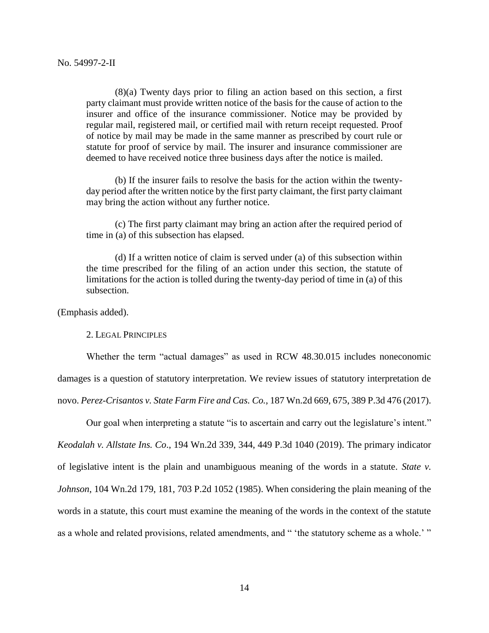(8)(a) Twenty days prior to filing an action based on this section, a first party claimant must provide written notice of the basis for the cause of action to the insurer and office of the insurance commissioner. Notice may be provided by regular mail, registered mail, or certified mail with return receipt requested. Proof of notice by mail may be made in the same manner as prescribed by court rule or statute for proof of service by mail. The insurer and insurance commissioner are deemed to have received notice three business days after the notice is mailed.

(b) If the insurer fails to resolve the basis for the action within the twentyday period after the written notice by the first party claimant, the first party claimant may bring the action without any further notice.

(c) The first party claimant may bring an action after the required period of time in (a) of this subsection has elapsed.

(d) If a written notice of claim is served under (a) of this subsection within the time prescribed for the filing of an action under this section, the statute of limitations for the action is tolled during the twenty-day period of time in (a) of this subsection.

(Emphasis added).

2. LEGAL PRINCIPLES

Whether the term "actual damages" as used in RCW 48.30.015 includes noneconomic damages is a question of statutory interpretation. We review issues of statutory interpretation de novo. *Perez-Crisantos v. State Farm Fire and Cas. Co.*, 187 Wn.2d 669, 675, 389 P.3d 476 (2017).

Our goal when interpreting a statute "is to ascertain and carry out the legislature's intent."

*Keodalah v. Allstate Ins. Co*., 194 Wn.2d 339, 344, 449 P.3d 1040 (2019). The primary indicator of legislative intent is the plain and unambiguous meaning of the words in a statute. *State v. Johnson*, 104 Wn.2d 179, 181, 703 P.2d 1052 (1985). When considering the plain meaning of the words in a statute, this court must examine the meaning of the words in the context of the statute as a whole and related provisions, related amendments, and " 'the statutory scheme as a whole.' "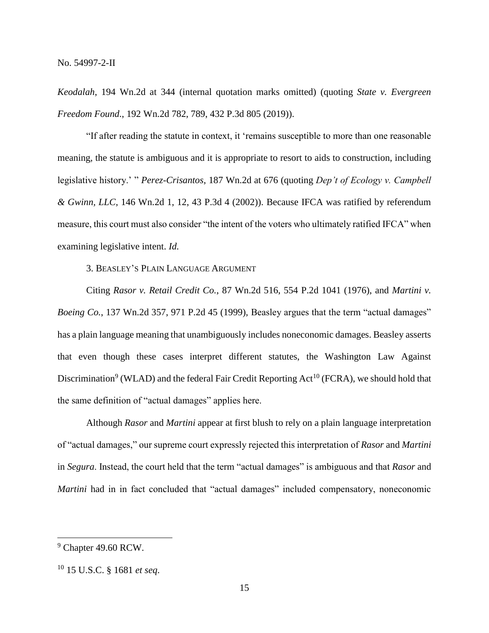*Keodalah*, 194 Wn.2d at 344 (internal quotation marks omitted) (quoting *State v. Evergreen Freedom Found*., 192 Wn.2d 782, 789, 432 P.3d 805 (2019)).

"If after reading the statute in context, it 'remains susceptible to more than one reasonable meaning, the statute is ambiguous and it is appropriate to resort to aids to construction, including legislative history.' " *Perez-Crisantos*, 187 Wn.2d at 676 (quoting *Dep't of Ecology v. Campbell & Gwinn, LLC*, 146 Wn.2d 1, 12, 43 P.3d 4 (2002)). Because IFCA was ratified by referendum measure, this court must also consider "the intent of the voters who ultimately ratified IFCA" when examining legislative intent. *Id.*

# 3. BEASLEY'S PLAIN LANGUAGE ARGUMENT

Citing *Rasor v. Retail Credit Co.*, 87 Wn.2d 516, 554 P.2d 1041 (1976), and *Martini v. Boeing Co.*, 137 Wn.2d 357, 971 P.2d 45 (1999), Beasley argues that the term "actual damages" has a plain language meaning that unambiguously includes noneconomic damages. Beasley asserts that even though these cases interpret different statutes, the Washington Law Against Discrimination<sup>9</sup> (WLAD) and the federal Fair Credit Reporting Act<sup>10</sup> (FCRA), we should hold that the same definition of "actual damages" applies here.

Although *Rasor* and *Martini* appear at first blush to rely on a plain language interpretation of "actual damages," our supreme court expressly rejected this interpretation of *Rasor* and *Martini* in *Segura*. Instead, the court held that the term "actual damages" is ambiguous and that *Rasor* and *Martini* had in in fact concluded that "actual damages" included compensatory, noneconomic

 $9$  Chapter 49.60 RCW.

<sup>10</sup> 15 U.S.C. § 1681 *et seq*.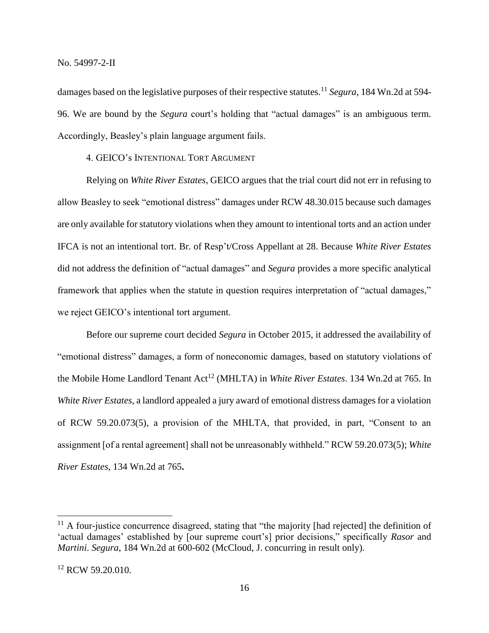damages based on the legislative purposes of their respective statutes.<sup>11</sup> *Segura*, 184 Wn.2d at 594- 96. We are bound by the *Segura* court's holding that "actual damages" is an ambiguous term. Accordingly, Beasley's plain language argument fails.

4. GEICO's INTENTIONAL TORT ARGUMENT

Relying on *White River Estates*, GEICO argues that the trial court did not err in refusing to allow Beasley to seek "emotional distress" damages under RCW 48.30.015 because such damages are only available for statutory violations when they amount to intentional torts and an action under IFCA is not an intentional tort. Br. of Resp't/Cross Appellant at 28. Because *White River Estates*  did not address the definition of "actual damages" and *Segura* provides a more specific analytical framework that applies when the statute in question requires interpretation of "actual damages," we reject GEICO's intentional tort argument.

Before our supreme court decided *Segura* in October 2015, it addressed the availability of "emotional distress" damages, a form of noneconomic damages, based on statutory violations of the Mobile Home Landlord Tenant Act<sup>12</sup> (MHLTA) in *White River Estates*. 134 Wn.2d at 765. In *White River Estates*, a landlord appealed a jury award of emotional distress damages for a violation of RCW 59.20.073(5), a provision of the MHLTA, that provided, in part, "Consent to an assignment [of a rental agreement] shall not be unreasonably withheld." RCW 59.20.073(5); *White River Estates*, 134 Wn.2d at 765**.**

<sup>&</sup>lt;sup>11</sup> A four-justice concurrence disagreed, stating that "the majority [had rejected] the definition of 'actual damages' established by [our supreme court's] prior decisions," specifically *Rasor* and *Martini*. *Segura*, 184 Wn.2d at 600-602 (McCloud, J. concurring in result only).

<sup>&</sup>lt;sup>12</sup> RCW 59.20.010.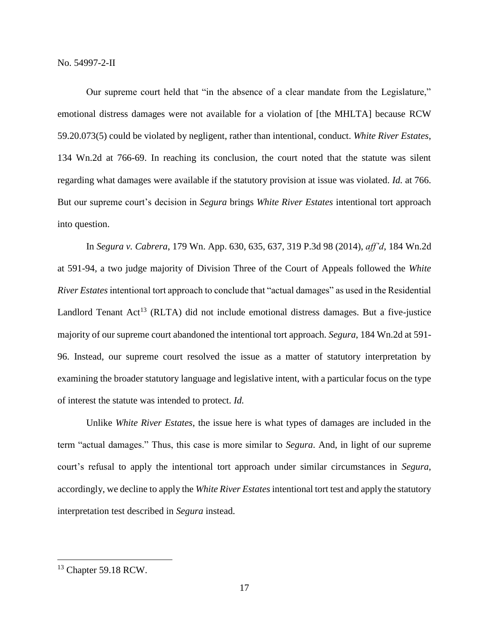Our supreme court held that "in the absence of a clear mandate from the Legislature," emotional distress damages were not available for a violation of [the MHLTA] because RCW 59.20.073(5) could be violated by negligent, rather than intentional, conduct. *White River Estates*, 134 Wn.2d at 766-69. In reaching its conclusion, the court noted that the statute was silent regarding what damages were available if the statutory provision at issue was violated. *Id.* at 766. But our supreme court's decision in *Segura* brings *White River Estates* intentional tort approach into question.

In *Segura v. Cabrera*, 179 Wn. App. 630, 635, 637, 319 P.3d 98 (2014), *aff'd*, 184 Wn.2d at 591-94, a two judge majority of Division Three of the Court of Appeals followed the *White River Estates* intentional tort approach to conclude that "actual damages" as used in the Residential Landlord Tenant Act<sup>13</sup> (RLTA) did not include emotional distress damages. But a five-justice majority of our supreme court abandoned the intentional tort approach. *Segura*, 184 Wn.2d at 591- 96. Instead, our supreme court resolved the issue as a matter of statutory interpretation by examining the broader statutory language and legislative intent, with a particular focus on the type of interest the statute was intended to protect. *Id.*

Unlike *White River Estates*, the issue here is what types of damages are included in the term "actual damages." Thus, this case is more similar to *Segura*. And, in light of our supreme court's refusal to apply the intentional tort approach under similar circumstances in *Segura*, accordingly, we decline to apply the *White River Estates* intentional tort test and apply the statutory interpretation test described in *Segura* instead.

<sup>13</sup> Chapter 59.18 RCW.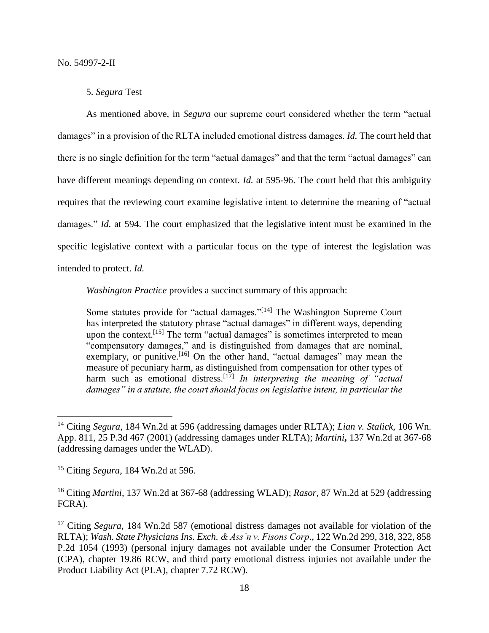## 5. *Segura* Test

As mentioned above, in *Segura* our supreme court considered whether the term "actual damages" in a provision of the RLTA included emotional distress damages. *Id.* The court held that there is no single definition for the term "actual damages" and that the term "actual damages" can have different meanings depending on context. *Id.* at 595-96. The court held that this ambiguity requires that the reviewing court examine legislative intent to determine the meaning of "actual damages." *Id.* at 594. The court emphasized that the legislative intent must be examined in the specific legislative context with a particular focus on the type of interest the legislation was intended to protect. *Id.*

*Washington Practice* provides a succinct summary of this approach:

Some statutes provide for "actual damages."[14] The Washington Supreme Court has interpreted the statutory phrase "actual damages" in different ways, depending upon the context.<sup>[15]</sup> The term "actual damages" is sometimes interpreted to mean "compensatory damages," and is distinguished from damages that are nominal, exemplary, or punitive.<sup>[16]</sup> On the other hand, "actual damages" may mean the measure of pecuniary harm, as distinguished from compensation for other types of harm such as emotional distress.<sup>[17]</sup> In interpreting the meaning of "actual *damages" in a statute, the court should focus on legislative intent, in particular the* 

<sup>14</sup> Citing *Segura*, 184 Wn.2d at 596 (addressing damages under RLTA); *Lian v. Stalick*, 106 Wn. App. 811, 25 P.3d 467 (2001) (addressing damages under RLTA); *Martini***,** 137 Wn.2d at 367-68 (addressing damages under the WLAD).

<sup>15</sup> Citing *Segura*, 184 Wn.2d at 596.

<sup>16</sup> Citing *Martini*, 137 Wn.2d at 367-68 (addressing WLAD); *Rasor*, 87 Wn.2d at 529 (addressing FCRA).

<sup>&</sup>lt;sup>17</sup> Citing *Segura*, 184 Wn.2d 587 (emotional distress damages not available for violation of the RLTA); *Wash. State Physicians Ins. Exch. & Ass'n v. Fisons Corp.*, 122 Wn.2d 299, 318, 322, 858 P.2d 1054 (1993) (personal injury damages not available under the Consumer Protection Act (CPA), chapter 19.86 RCW, and third party emotional distress injuries not available under the Product Liability Act (PLA), chapter 7.72 RCW).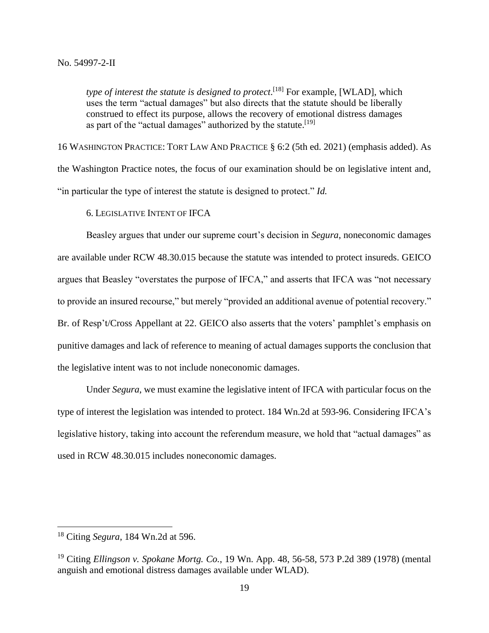type of interest the statute is designed to protect.<sup>[18]</sup> For example, [WLAD], which uses the term "actual damages" but also directs that the statute should be liberally construed to effect its purpose, allows the recovery of emotional distress damages as part of the "actual damages" authorized by the statute.<sup>[19]</sup>

16 WASHINGTON PRACTICE: TORT LAW AND PRACTICE § 6:2 (5th ed. 2021) (emphasis added). As the Washington Practice notes, the focus of our examination should be on legislative intent and, "in particular the type of interest the statute is designed to protect." *Id.*

6. LEGISLATIVE INTENT OF IFCA

Beasley argues that under our supreme court's decision in *Segura*, noneconomic damages are available under RCW 48.30.015 because the statute was intended to protect insureds. GEICO argues that Beasley "overstates the purpose of IFCA," and asserts that IFCA was "not necessary to provide an insured recourse," but merely "provided an additional avenue of potential recovery." Br. of Resp't/Cross Appellant at 22. GEICO also asserts that the voters' pamphlet's emphasis on punitive damages and lack of reference to meaning of actual damages supports the conclusion that the legislative intent was to not include noneconomic damages.

Under *Segura*, we must examine the legislative intent of IFCA with particular focus on the type of interest the legislation was intended to protect. 184 Wn.2d at 593-96. Considering IFCA's legislative history, taking into account the referendum measure, we hold that "actual damages" as used in RCW 48.30.015 includes noneconomic damages.

<sup>18</sup> Citing *Segura*, 184 Wn.2d at 596.

<sup>19</sup> Citing *Ellingson v. Spokane Mortg. Co.*, 19 Wn. App. 48, 56-58, 573 P.2d 389 (1978) (mental anguish and emotional distress damages available under WLAD).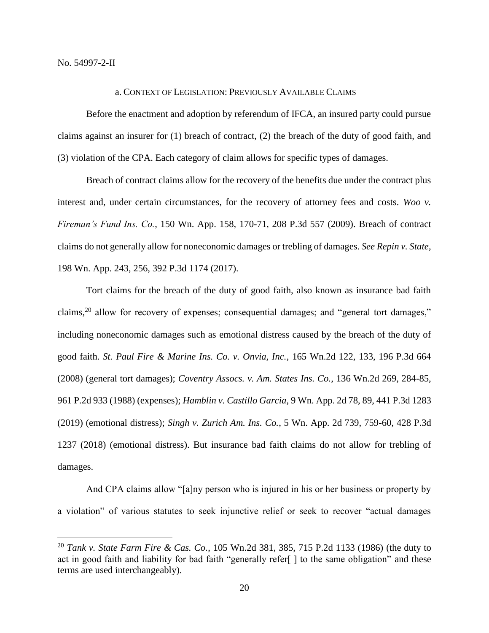$\overline{a}$ 

#### a. CONTEXT OF LEGISLATION: PREVIOUSLY AVAILABLE CLAIMS

Before the enactment and adoption by referendum of IFCA, an insured party could pursue claims against an insurer for (1) breach of contract, (2) the breach of the duty of good faith, and (3) violation of the CPA. Each category of claim allows for specific types of damages.

Breach of contract claims allow for the recovery of the benefits due under the contract plus interest and, under certain circumstances, for the recovery of attorney fees and costs. *Woo v. Fireman's Fund Ins. Co.*, 150 Wn. App. 158, 170-71, 208 P.3d 557 (2009). Breach of contract claims do not generally allow for noneconomic damages or trebling of damages. *See Repin v. State*, 198 Wn. App. 243, 256, 392 P.3d 1174 (2017).

Tort claims for the breach of the duty of good faith, also known as insurance bad faith claims,<sup>20</sup> allow for recovery of expenses; consequential damages; and "general tort damages," including noneconomic damages such as emotional distress caused by the breach of the duty of good faith. *St. Paul Fire & Marine Ins. Co. v. Onvia, Inc.*, 165 Wn.2d 122, 133, 196 P.3d 664 (2008) (general tort damages); *Coventry Assocs. v. Am. States Ins. Co.*, 136 Wn.2d 269, 284-85, 961 P.2d 933 (1988) (expenses); *Hamblin v. Castillo Garcia*, 9 Wn. App. 2d 78, 89, 441 P.3d 1283 (2019) (emotional distress); *Singh v. Zurich Am. Ins. Co.*, 5 Wn. App. 2d 739, 759-60, 428 P.3d 1237 (2018) (emotional distress). But insurance bad faith claims do not allow for trebling of damages.

And CPA claims allow "[a]ny person who is injured in his or her business or property by a violation" of various statutes to seek injunctive relief or seek to recover "actual damages

<sup>20</sup> *Tank v. State Farm Fire & Cas. Co.*, 105 Wn.2d 381, 385, 715 P.2d 1133 (1986) (the duty to act in good faith and liability for bad faith "generally refer[ ] to the same obligation" and these terms are used interchangeably).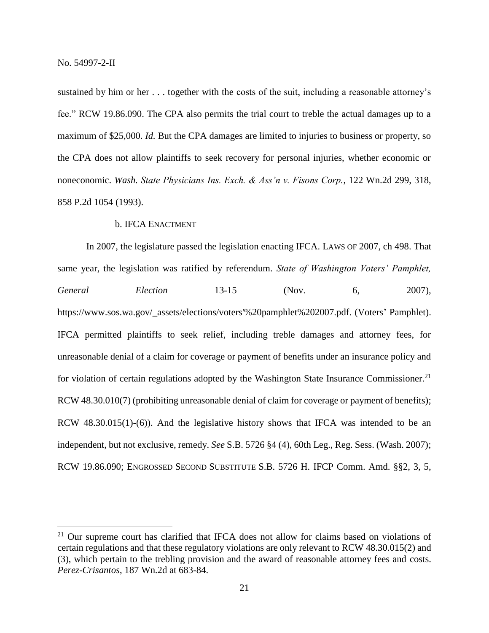$\overline{a}$ 

sustained by him or her . . . together with the costs of the suit, including a reasonable attorney's fee." RCW 19.86.090. The CPA also permits the trial court to treble the actual damages up to a maximum of \$25,000. *Id.* But the CPA damages are limited to injuries to business or property, so the CPA does not allow plaintiffs to seek recovery for personal injuries, whether economic or noneconomic. *Wash. State Physicians Ins. Exch. & Ass'n v. Fisons Corp.*, 122 Wn.2d 299, 318, 858 P.2d 1054 (1993).

## b. IFCA ENACTMENT

In 2007, the legislature passed the legislation enacting IFCA. LAWS OF 2007, ch 498. That same year, the legislation was ratified by referendum. *State of Washington Voters' Pamphlet, General Election* 13-15 (Nov. 6, 2007), https://www.sos.wa.gov/\_assets/elections/voters'%20pamphlet%202007.pdf. (Voters' Pamphlet). IFCA permitted plaintiffs to seek relief, including treble damages and attorney fees, for unreasonable denial of a claim for coverage or payment of benefits under an insurance policy and for violation of certain regulations adopted by the Washington State Insurance Commissioner.<sup>21</sup> RCW 48.30.010(7) (prohibiting unreasonable denial of claim for coverage or payment of benefits); RCW 48.30.015(1)-(6)). And the legislative history shows that IFCA was intended to be an independent, but not exclusive, remedy. *See* S.B. 5726 §4 (4), 60th Leg., Reg. Sess. (Wash. 2007); RCW 19.86.090; ENGROSSED SECOND SUBSTITUTE S.B. 5726 H. IFCP Comm. Amd. §§2, 3, 5,

 $21$  Our supreme court has clarified that IFCA does not allow for claims based on violations of certain regulations and that these regulatory violations are only relevant to RCW 48.30.015(2) and (3), which pertain to the trebling provision and the award of reasonable attorney fees and costs. *Perez-Crisantos*, 187 Wn.2d at 683-84.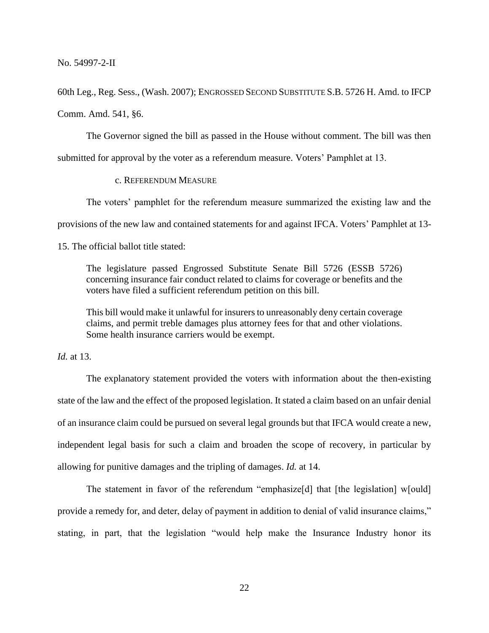60th Leg., Reg. Sess., (Wash. 2007); ENGROSSED SECOND SUBSTITUTE S.B. 5726 H. Amd. to IFCP Comm. Amd. 541, §6.

The Governor signed the bill as passed in the House without comment. The bill was then submitted for approval by the voter as a referendum measure. Voters' Pamphlet at 13.

# c. REFERENDUM MEASURE

The voters' pamphlet for the referendum measure summarized the existing law and the

provisions of the new law and contained statements for and against IFCA. Voters' Pamphlet at 13-

15. The official ballot title stated:

The legislature passed Engrossed Substitute Senate Bill 5726 (ESSB 5726) concerning insurance fair conduct related to claims for coverage or benefits and the voters have filed a sufficient referendum petition on this bill.

This bill would make it unlawful for insurers to unreasonably deny certain coverage claims, and permit treble damages plus attorney fees for that and other violations. Some health insurance carriers would be exempt.

*Id.* at 13.

The explanatory statement provided the voters with information about the then-existing state of the law and the effect of the proposed legislation. It stated a claim based on an unfair denial of an insurance claim could be pursued on several legal grounds but that IFCA would create a new, independent legal basis for such a claim and broaden the scope of recovery, in particular by allowing for punitive damages and the tripling of damages. *Id.* at 14.

The statement in favor of the referendum "emphasize<sup>[d]</sup> that [the legislation] w[ould] provide a remedy for, and deter, delay of payment in addition to denial of valid insurance claims," stating, in part, that the legislation "would help make the Insurance Industry honor its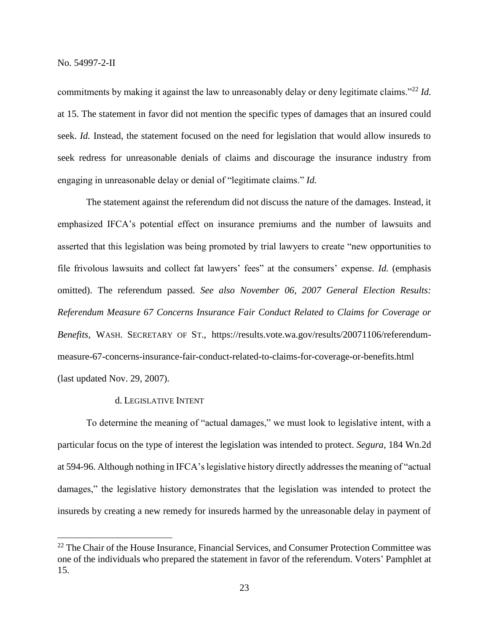$\overline{a}$ 

commitments by making it against the law to unreasonably delay or deny legitimate claims."<sup>22</sup> *Id.* at 15. The statement in favor did not mention the specific types of damages that an insured could seek. *Id.* Instead, the statement focused on the need for legislation that would allow insureds to seek redress for unreasonable denials of claims and discourage the insurance industry from engaging in unreasonable delay or denial of "legitimate claims." *Id.*

The statement against the referendum did not discuss the nature of the damages. Instead, it emphasized IFCA's potential effect on insurance premiums and the number of lawsuits and asserted that this legislation was being promoted by trial lawyers to create "new opportunities to file frivolous lawsuits and collect fat lawyers' fees" at the consumers' expense. *Id.* (emphasis omitted). The referendum passed. *See also November 06, 2007 General Election Results: Referendum Measure 67 Concerns Insurance Fair Conduct Related to Claims for Coverage or Benefits*, WASH. SECRETARY OF ST., https://results.vote.wa.gov/results/20071106/referendummeasure-67-concerns-insurance-fair-conduct-related-to-claims-for-coverage-or-benefits.html (last updated Nov. 29, 2007).

# d. LEGISLATIVE INTENT

To determine the meaning of "actual damages," we must look to legislative intent, with a particular focus on the type of interest the legislation was intended to protect. *Segura*, 184 Wn.2d at 594-96. Although nothing in IFCA's legislative history directly addresses the meaning of "actual damages," the legislative history demonstrates that the legislation was intended to protect the insureds by creating a new remedy for insureds harmed by the unreasonable delay in payment of

 $22$  The Chair of the House Insurance, Financial Services, and Consumer Protection Committee was one of the individuals who prepared the statement in favor of the referendum. Voters' Pamphlet at 15.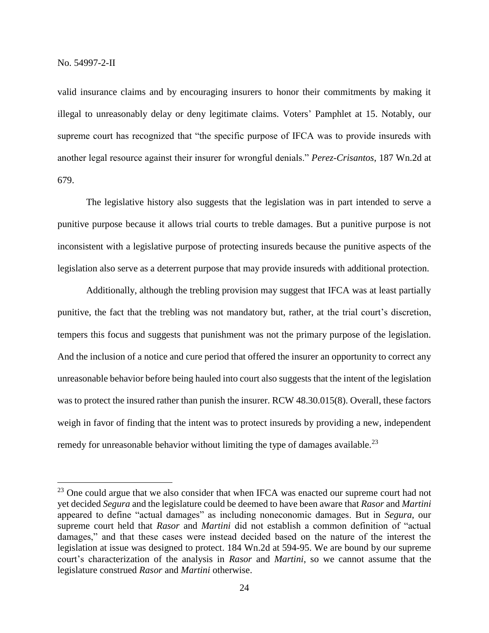$\overline{a}$ 

valid insurance claims and by encouraging insurers to honor their commitments by making it illegal to unreasonably delay or deny legitimate claims. Voters' Pamphlet at 15. Notably, our supreme court has recognized that "the specific purpose of IFCA was to provide insureds with another legal resource against their insurer for wrongful denials." *Perez-Crisantos*, 187 Wn.2d at 679.

The legislative history also suggests that the legislation was in part intended to serve a punitive purpose because it allows trial courts to treble damages. But a punitive purpose is not inconsistent with a legislative purpose of protecting insureds because the punitive aspects of the legislation also serve as a deterrent purpose that may provide insureds with additional protection.

Additionally, although the trebling provision may suggest that IFCA was at least partially punitive, the fact that the trebling was not mandatory but, rather, at the trial court's discretion, tempers this focus and suggests that punishment was not the primary purpose of the legislation. And the inclusion of a notice and cure period that offered the insurer an opportunity to correct any unreasonable behavior before being hauled into court also suggests that the intent of the legislation was to protect the insured rather than punish the insurer. RCW 48.30.015(8). Overall, these factors weigh in favor of finding that the intent was to protect insureds by providing a new, independent remedy for unreasonable behavior without limiting the type of damages available.<sup>23</sup>

 $23$  One could argue that we also consider that when IFCA was enacted our supreme court had not yet decided *Segura* and the legislature could be deemed to have been aware that *Rasor* and *Martini*  appeared to define "actual damages" as including noneconomic damages. But in *Segura*, our supreme court held that *Rasor* and *Martini* did not establish a common definition of "actual damages," and that these cases were instead decided based on the nature of the interest the legislation at issue was designed to protect. 184 Wn.2d at 594-95. We are bound by our supreme court's characterization of the analysis in *Rasor* and *Martini*, so we cannot assume that the legislature construed *Rasor* and *Martini* otherwise.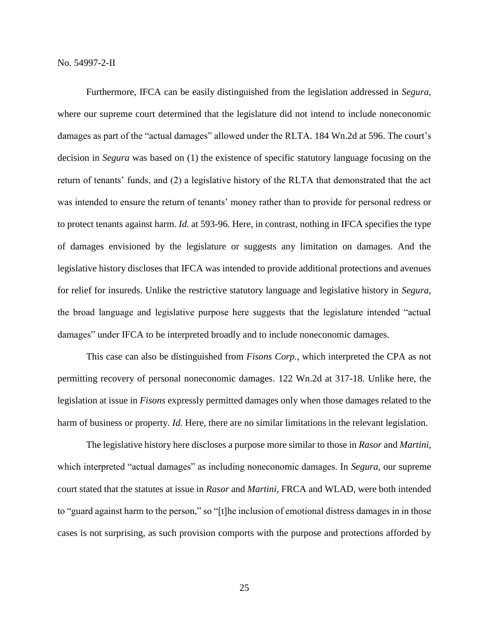Furthermore, IFCA can be easily distinguished from the legislation addressed in *Segura*, where our supreme court determined that the legislature did not intend to include noneconomic damages as part of the "actual damages" allowed under the RLTA. 184 Wn.2d at 596. The court's decision in *Segura* was based on (1) the existence of specific statutory language focusing on the return of tenants' funds, and (2) a legislative history of the RLTA that demonstrated that the act was intended to ensure the return of tenants' money rather than to provide for personal redress or to protect tenants against harm. *Id.* at 593-96. Here, in contrast, nothing in IFCA specifies the type of damages envisioned by the legislature or suggests any limitation on damages. And the legislative history discloses that IFCA was intended to provide additional protections and avenues for relief for insureds. Unlike the restrictive statutory language and legislative history in *Segura*, the broad language and legislative purpose here suggests that the legislature intended "actual damages" under IFCA to be interpreted broadly and to include noneconomic damages.

This case can also be distinguished from *Fisons Corp.*, which interpreted the CPA as not permitting recovery of personal noneconomic damages. 122 Wn.2d at 317-18. Unlike here, the legislation at issue in *Fisons* expressly permitted damages only when those damages related to the harm of business or property. *Id.* Here, there are no similar limitations in the relevant legislation.

The legislative history here discloses a purpose more similar to those in *Rasor* and *Martini*, which interpreted "actual damages" as including noneconomic damages. In *Segura*, our supreme court stated that the statutes at issue in *Rasor* and *Martini*, FRCA and WLAD, were both intended to "guard against harm to the person," so "[t]he inclusion of emotional distress damages in in those cases is not surprising, as such provision comports with the purpose and protections afforded by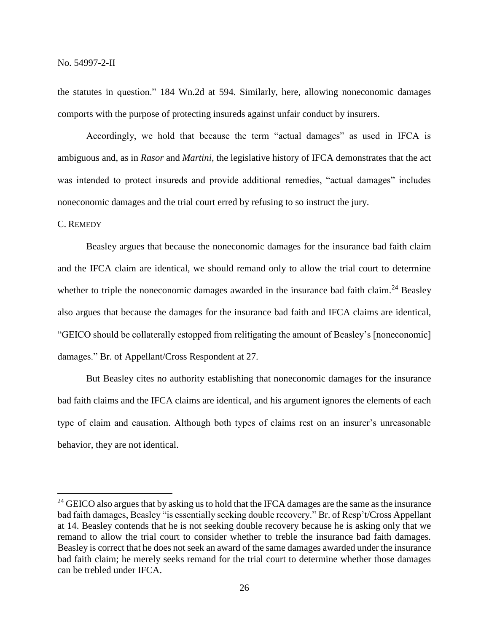the statutes in question." 184 Wn.2d at 594. Similarly, here, allowing noneconomic damages comports with the purpose of protecting insureds against unfair conduct by insurers.

Accordingly, we hold that because the term "actual damages" as used in IFCA is ambiguous and, as in *Rasor* and *Martini*, the legislative history of IFCA demonstrates that the act was intended to protect insureds and provide additional remedies, "actual damages" includes noneconomic damages and the trial court erred by refusing to so instruct the jury.

## C. REMEDY

 $\overline{a}$ 

Beasley argues that because the noneconomic damages for the insurance bad faith claim and the IFCA claim are identical, we should remand only to allow the trial court to determine whether to triple the noneconomic damages awarded in the insurance bad faith claim.<sup>24</sup> Beasley also argues that because the damages for the insurance bad faith and IFCA claims are identical, "GEICO should be collaterally estopped from relitigating the amount of Beasley's [noneconomic] damages." Br. of Appellant/Cross Respondent at 27.

But Beasley cites no authority establishing that noneconomic damages for the insurance bad faith claims and the IFCA claims are identical, and his argument ignores the elements of each type of claim and causation. Although both types of claims rest on an insurer's unreasonable behavior, they are not identical.

<sup>&</sup>lt;sup>24</sup> GEICO also argues that by asking us to hold that the IFCA damages are the same as the insurance bad faith damages, Beasley "is essentially seeking double recovery." Br. of Resp't/Cross Appellant at 14. Beasley contends that he is not seeking double recovery because he is asking only that we remand to allow the trial court to consider whether to treble the insurance bad faith damages. Beasley is correct that he does not seek an award of the same damages awarded under the insurance bad faith claim; he merely seeks remand for the trial court to determine whether those damages can be trebled under IFCA.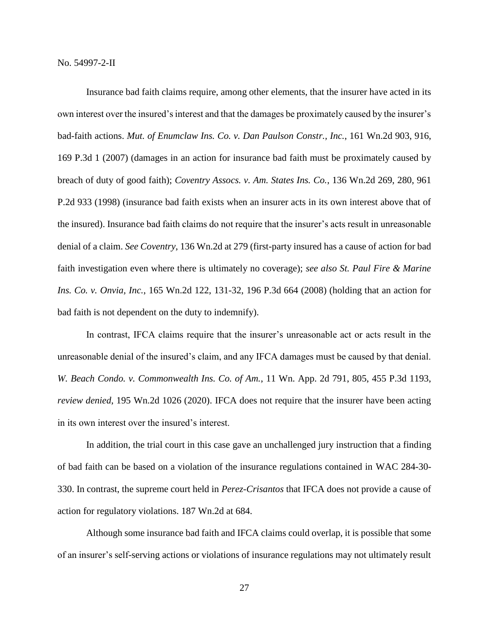Insurance bad faith claims require, among other elements, that the insurer have acted in its own interest over the insured's interest and that the damages be proximately caused by the insurer's bad-faith actions. *Mut. of Enumclaw Ins. Co. v. Dan Paulson Constr., Inc.*, 161 Wn.2d 903, 916, 169 P.3d 1 (2007) (damages in an action for insurance bad faith must be proximately caused by breach of duty of good faith); *Coventry Assocs. v. Am. States Ins. Co.*, 136 Wn.2d 269, 280, 961 P.2d 933 (1998) (insurance bad faith exists when an insurer acts in its own interest above that of the insured). Insurance bad faith claims do not require that the insurer's acts result in unreasonable denial of a claim. *See Coventry*, 136 Wn.2d at 279 (first-party insured has a cause of action for bad faith investigation even where there is ultimately no coverage); *see also St. Paul Fire & Marine Ins. Co. v. Onvia, Inc.*, 165 Wn.2d 122, 131-32, 196 P.3d 664 (2008) (holding that an action for bad faith is not dependent on the duty to indemnify).

In contrast, IFCA claims require that the insurer's unreasonable act or acts result in the unreasonable denial of the insured's claim, and any IFCA damages must be caused by that denial. *W. Beach Condo. v. Commonwealth Ins. Co. of Am.*, 11 Wn. App. 2d 791, 805, 455 P.3d 1193, *review denied*, 195 Wn.2d 1026 (2020). IFCA does not require that the insurer have been acting in its own interest over the insured's interest.

In addition, the trial court in this case gave an unchallenged jury instruction that a finding of bad faith can be based on a violation of the insurance regulations contained in WAC 284-30- 330. In contrast, the supreme court held in *Perez-Crisantos* that IFCA does not provide a cause of action for regulatory violations. 187 Wn.2d at 684.

Although some insurance bad faith and IFCA claims could overlap, it is possible that some of an insurer's self-serving actions or violations of insurance regulations may not ultimately result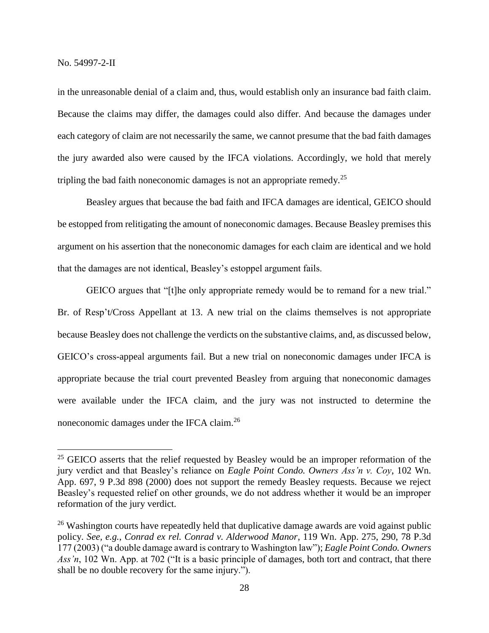$\overline{a}$ 

in the unreasonable denial of a claim and, thus, would establish only an insurance bad faith claim. Because the claims may differ, the damages could also differ. And because the damages under each category of claim are not necessarily the same, we cannot presume that the bad faith damages the jury awarded also were caused by the IFCA violations. Accordingly, we hold that merely tripling the bad faith noneconomic damages is not an appropriate remedy.<sup>25</sup>

Beasley argues that because the bad faith and IFCA damages are identical, GEICO should be estopped from relitigating the amount of noneconomic damages. Because Beasley premises this argument on his assertion that the noneconomic damages for each claim are identical and we hold that the damages are not identical, Beasley's estoppel argument fails.

GEICO argues that "[t]he only appropriate remedy would be to remand for a new trial." Br. of Resp't/Cross Appellant at 13. A new trial on the claims themselves is not appropriate because Beasley does not challenge the verdicts on the substantive claims, and, as discussed below, GEICO's cross-appeal arguments fail. But a new trial on noneconomic damages under IFCA is appropriate because the trial court prevented Beasley from arguing that noneconomic damages were available under the IFCA claim, and the jury was not instructed to determine the noneconomic damages under the IFCA claim.<sup>26</sup>

 $25$  GEICO asserts that the relief requested by Beasley would be an improper reformation of the jury verdict and that Beasley's reliance on *Eagle Point Condo. Owners Ass'n v. Coy*, 102 Wn. App. 697, 9 P.3d 898 (2000) does not support the remedy Beasley requests. Because we reject Beasley's requested relief on other grounds, we do not address whether it would be an improper reformation of the jury verdict.

<sup>&</sup>lt;sup>26</sup> Washington courts have repeatedly held that duplicative damage awards are void against public policy. *See, e.g.*, *Conrad ex rel. Conrad v. Alderwood Manor*, 119 Wn. App. 275, 290, 78 P.3d 177 (2003) ("a double damage award is contrary to Washington law"); *Eagle Point Condo. Owners Ass'n*, 102 Wn. App. at 702 ("It is a basic principle of damages, both tort and contract, that there shall be no double recovery for the same injury.").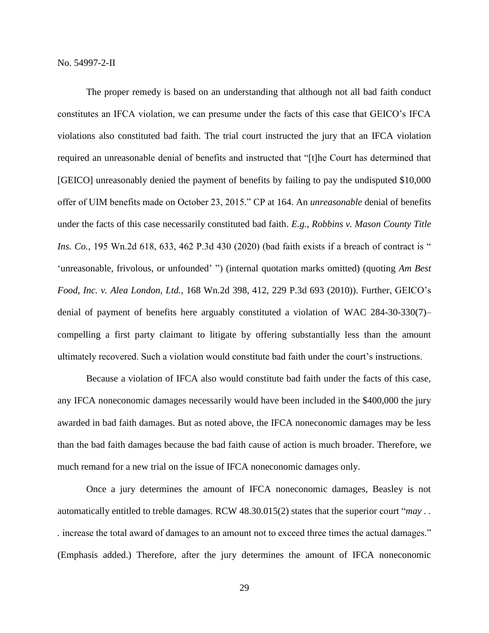The proper remedy is based on an understanding that although not all bad faith conduct constitutes an IFCA violation, we can presume under the facts of this case that GEICO's IFCA violations also constituted bad faith. The trial court instructed the jury that an IFCA violation required an unreasonable denial of benefits and instructed that "[t]he Court has determined that [GEICO] unreasonably denied the payment of benefits by failing to pay the undisputed \$10,000 offer of UIM benefits made on October 23, 2015." CP at 164. An *unreasonable* denial of benefits under the facts of this case necessarily constituted bad faith. *E.g.*, *Robbins v. Mason County Title Ins. Co.*, 195 Wn.2d 618, 633, 462 P.3d 430 (2020) (bad faith exists if a breach of contract is " 'unreasonable, frivolous, or unfounded' ") (internal quotation marks omitted) (quoting *Am Best Food, Inc. v. Alea London, Ltd.*, 168 Wn.2d 398, 412, 229 P.3d 693 (2010)). Further, GEICO's denial of payment of benefits here arguably constituted a violation of WAC 284-30-330(7)– compelling a first party claimant to litigate by offering substantially less than the amount ultimately recovered. Such a violation would constitute bad faith under the court's instructions.

Because a violation of IFCA also would constitute bad faith under the facts of this case, any IFCA noneconomic damages necessarily would have been included in the \$400,000 the jury awarded in bad faith damages. But as noted above, the IFCA noneconomic damages may be less than the bad faith damages because the bad faith cause of action is much broader. Therefore, we much remand for a new trial on the issue of IFCA noneconomic damages only.

Once a jury determines the amount of IFCA noneconomic damages, Beasley is not automatically entitled to treble damages. RCW 48.30.015(2) states that the superior court "*may . . .* increase the total award of damages to an amount not to exceed three times the actual damages." (Emphasis added.) Therefore, after the jury determines the amount of IFCA noneconomic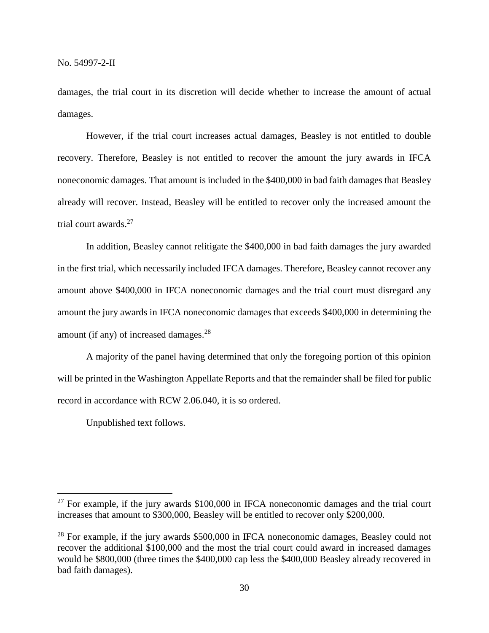damages, the trial court in its discretion will decide whether to increase the amount of actual damages.

However, if the trial court increases actual damages, Beasley is not entitled to double recovery. Therefore, Beasley is not entitled to recover the amount the jury awards in IFCA noneconomic damages. That amount is included in the \$400,000 in bad faith damages that Beasley already will recover. Instead, Beasley will be entitled to recover only the increased amount the trial court awards.<sup>27</sup>

In addition, Beasley cannot relitigate the \$400,000 in bad faith damages the jury awarded in the first trial, which necessarily included IFCA damages. Therefore, Beasley cannot recover any amount above \$400,000 in IFCA noneconomic damages and the trial court must disregard any amount the jury awards in IFCA noneconomic damages that exceeds \$400,000 in determining the amount (if any) of increased damages. $^{28}$ 

A majority of the panel having determined that only the foregoing portion of this opinion will be printed in the Washington Appellate Reports and that the remainder shall be filed for public record in accordance with RCW 2.06.040, it is so ordered.

Unpublished text follows.

 $27$  For example, if the jury awards \$100,000 in IFCA noneconomic damages and the trial court increases that amount to \$300,000, Beasley will be entitled to recover only \$200,000.

<sup>&</sup>lt;sup>28</sup> For example, if the jury awards \$500,000 in IFCA noneconomic damages, Beasley could not recover the additional \$100,000 and the most the trial court could award in increased damages would be \$800,000 (three times the \$400,000 cap less the \$400,000 Beasley already recovered in bad faith damages).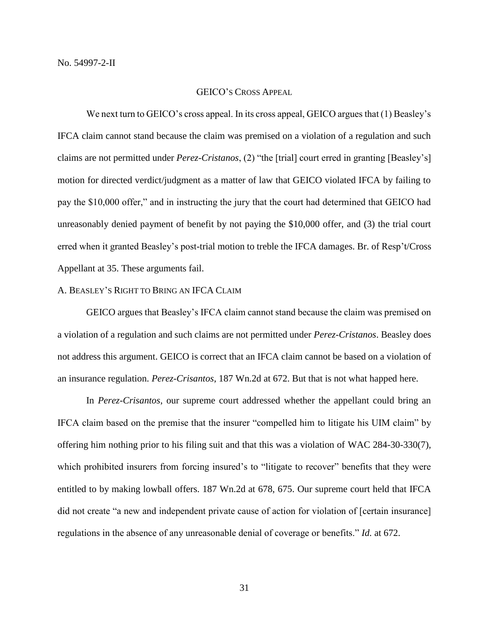#### GEICO'S CROSS APPEAL

We next turn to GEICO's cross appeal. In its cross appeal, GEICO argues that (1) Beasley's IFCA claim cannot stand because the claim was premised on a violation of a regulation and such claims are not permitted under *Perez-Cristanos*, (2) "the [trial] court erred in granting [Beasley's] motion for directed verdict/judgment as a matter of law that GEICO violated IFCA by failing to pay the \$10,000 offer," and in instructing the jury that the court had determined that GEICO had unreasonably denied payment of benefit by not paying the \$10,000 offer, and (3) the trial court erred when it granted Beasley's post-trial motion to treble the IFCA damages. Br. of Resp't/Cross Appellant at 35. These arguments fail.

# A. BEASLEY'S RIGHT TO BRING AN IFCA CLAIM

GEICO argues that Beasley's IFCA claim cannot stand because the claim was premised on a violation of a regulation and such claims are not permitted under *Perez-Cristanos*. Beasley does not address this argument. GEICO is correct that an IFCA claim cannot be based on a violation of an insurance regulation. *Perez-Crisantos*, 187 Wn.2d at 672. But that is not what happed here.

In *Perez-Crisantos*, our supreme court addressed whether the appellant could bring an IFCA claim based on the premise that the insurer "compelled him to litigate his UIM claim" by offering him nothing prior to his filing suit and that this was a violation of WAC 284-30-330(7), which prohibited insurers from forcing insured's to "litigate to recover" benefits that they were entitled to by making lowball offers. 187 Wn.2d at 678, 675. Our supreme court held that IFCA did not create "a new and independent private cause of action for violation of [certain insurance] regulations in the absence of any unreasonable denial of coverage or benefits." *Id.* at 672.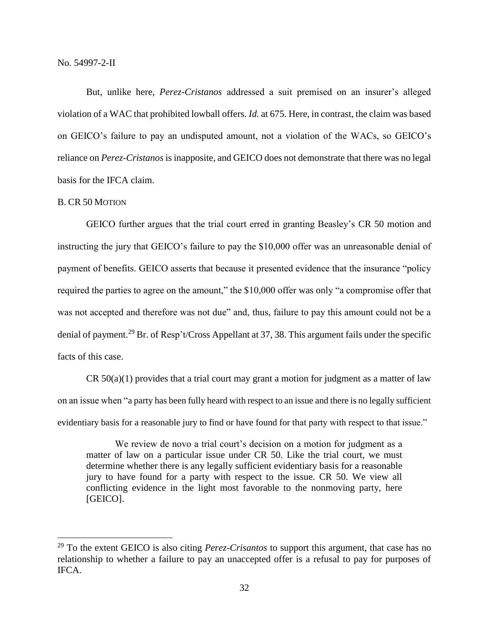But, unlike here, *Perez-Cristanos* addressed a suit premised on an insurer's alleged violation of a WAC that prohibited lowball offers. *Id.* at 675. Here, in contrast, the claim was based on GEICO's failure to pay an undisputed amount, not a violation of the WACs, so GEICO's reliance on *Perez-Cristanos* is inapposite, and GEICO does not demonstrate that there was no legal basis for the IFCA claim.

## B. CR 50 MOTION

 $\overline{a}$ 

GEICO further argues that the trial court erred in granting Beasley's CR 50 motion and instructing the jury that GEICO's failure to pay the \$10,000 offer was an unreasonable denial of payment of benefits. GEICO asserts that because it presented evidence that the insurance "policy required the parties to agree on the amount," the \$10,000 offer was only "a compromise offer that was not accepted and therefore was not due" and, thus, failure to pay this amount could not be a denial of payment.<sup>29</sup> Br. of Resp't/Cross Appellant at 37, 38. This argument fails under the specific facts of this case.

 $CR 50(a)(1)$  provides that a trial court may grant a motion for judgment as a matter of law on an issue when "a party has been fully heard with respect to an issue and there is no legally sufficient evidentiary basis for a reasonable jury to find or have found for that party with respect to that issue."

We review de novo a trial court's decision on a motion for judgment as a matter of law on a particular issue under CR 50. Like the trial court, we must determine whether there is any legally sufficient evidentiary basis for a reasonable jury to have found for a party with respect to the issue. CR 50. We view all conflicting evidence in the light most favorable to the nonmoving party, here [GEICO].

<sup>29</sup> To the extent GEICO is also citing *Perez-Crisantos* to support this argument, that case has no relationship to whether a failure to pay an unaccepted offer is a refusal to pay for purposes of IFCA.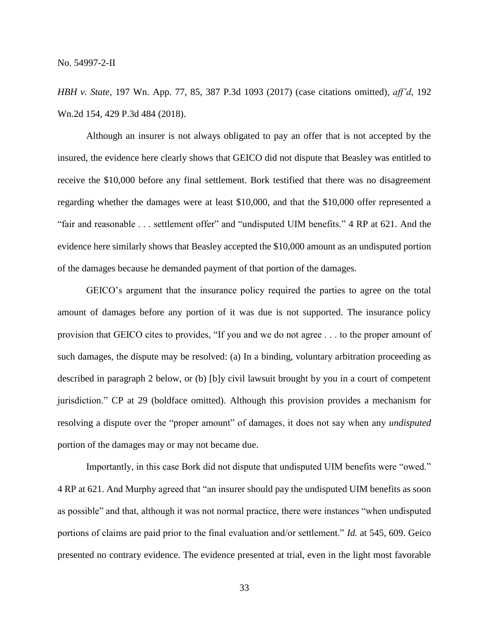*HBH v. State*, 197 Wn. App. 77, 85, 387 P.3d 1093 (2017) (case citations omitted), *aff'd*, 192 Wn.2d 154, 429 P.3d 484 (2018).

Although an insurer is not always obligated to pay an offer that is not accepted by the insured, the evidence here clearly shows that GEICO did not dispute that Beasley was entitled to receive the \$10,000 before any final settlement. Bork testified that there was no disagreement regarding whether the damages were at least \$10,000, and that the \$10,000 offer represented a "fair and reasonable . . . settlement offer" and "undisputed UIM benefits." 4 RP at 621. And the evidence here similarly shows that Beasley accepted the \$10,000 amount as an undisputed portion of the damages because he demanded payment of that portion of the damages.

GEICO's argument that the insurance policy required the parties to agree on the total amount of damages before any portion of it was due is not supported. The insurance policy provision that GEICO cites to provides, "If you and we do not agree . . . to the proper amount of such damages, the dispute may be resolved: (a) In a binding, voluntary arbitration proceeding as described in paragraph 2 below, or (b) [b]y civil lawsuit brought by you in a court of competent jurisdiction." CP at 29 (boldface omitted). Although this provision provides a mechanism for resolving a dispute over the "proper amount" of damages, it does not say when any *undisputed* portion of the damages may or may not became due.

Importantly, in this case Bork did not dispute that undisputed UIM benefits were "owed." 4 RP at 621. And Murphy agreed that "an insurer should pay the undisputed UIM benefits as soon as possible" and that, although it was not normal practice, there were instances "when undisputed portions of claims are paid prior to the final evaluation and/or settlement." *Id.* at 545, 609. Geico presented no contrary evidence. The evidence presented at trial, even in the light most favorable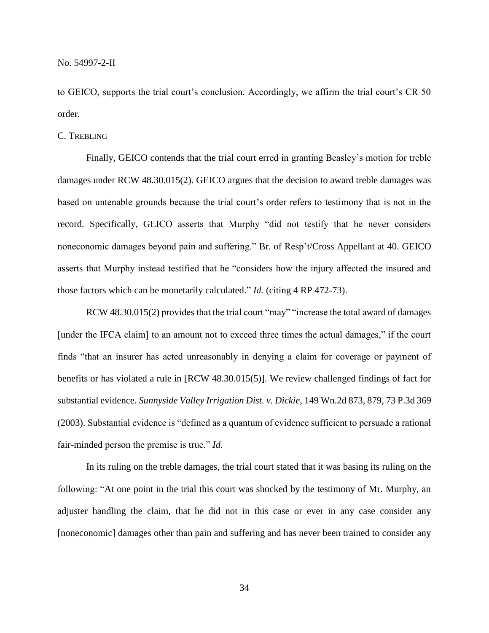to GEICO, supports the trial court's conclusion. Accordingly, we affirm the trial court's CR 50 order.

#### C. TREBLING

Finally, GEICO contends that the trial court erred in granting Beasley's motion for treble damages under RCW 48.30.015(2). GEICO argues that the decision to award treble damages was based on untenable grounds because the trial court's order refers to testimony that is not in the record. Specifically, GEICO asserts that Murphy "did not testify that he never considers noneconomic damages beyond pain and suffering." Br. of Resp't/Cross Appellant at 40. GEICO asserts that Murphy instead testified that he "considers how the injury affected the insured and those factors which can be monetarily calculated." *Id.* (citing 4 RP 472-73).

RCW 48.30.015(2) provides that the trial court "may" "increase the total award of damages [under the IFCA claim] to an amount not to exceed three times the actual damages," if the court finds "that an insurer has acted unreasonably in denying a claim for coverage or payment of benefits or has violated a rule in [RCW 48.30.015(5)]. We review challenged findings of fact for substantial evidence. *Sunnyside Valley Irrigation Dist. v. Dickie*, 149 Wn.2d 873, 879, 73 P.3d 369 (2003). Substantial evidence is "defined as a quantum of evidence sufficient to persuade a rational fair-minded person the premise is true." *Id.*

In its ruling on the treble damages, the trial court stated that it was basing its ruling on the following: "At one point in the trial this court was shocked by the testimony of Mr. Murphy, an adjuster handling the claim, that he did not in this case or ever in any case consider any [noneconomic] damages other than pain and suffering and has never been trained to consider any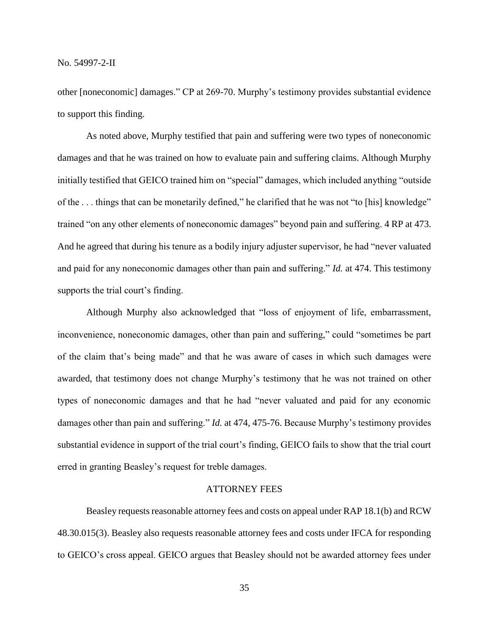other [noneconomic] damages." CP at 269-70. Murphy's testimony provides substantial evidence to support this finding.

As noted above, Murphy testified that pain and suffering were two types of noneconomic damages and that he was trained on how to evaluate pain and suffering claims. Although Murphy initially testified that GEICO trained him on "special" damages, which included anything "outside of the . . . things that can be monetarily defined," he clarified that he was not "to [his] knowledge" trained "on any other elements of noneconomic damages" beyond pain and suffering. 4 RP at 473. And he agreed that during his tenure as a bodily injury adjuster supervisor, he had "never valuated and paid for any noneconomic damages other than pain and suffering." *Id.* at 474. This testimony supports the trial court's finding.

Although Murphy also acknowledged that "loss of enjoyment of life, embarrassment, inconvenience, noneconomic damages, other than pain and suffering," could "sometimes be part of the claim that's being made" and that he was aware of cases in which such damages were awarded, that testimony does not change Murphy's testimony that he was not trained on other types of noneconomic damages and that he had "never valuated and paid for any economic damages other than pain and suffering." *Id.* at 474, 475-76. Because Murphy's testimony provides substantial evidence in support of the trial court's finding, GEICO fails to show that the trial court erred in granting Beasley's request for treble damages.

# ATTORNEY FEES

Beasley requests reasonable attorney fees and costs on appeal under RAP 18.1(b) and RCW 48.30.015(3). Beasley also requests reasonable attorney fees and costs under IFCA for responding to GEICO's cross appeal. GEICO argues that Beasley should not be awarded attorney fees under